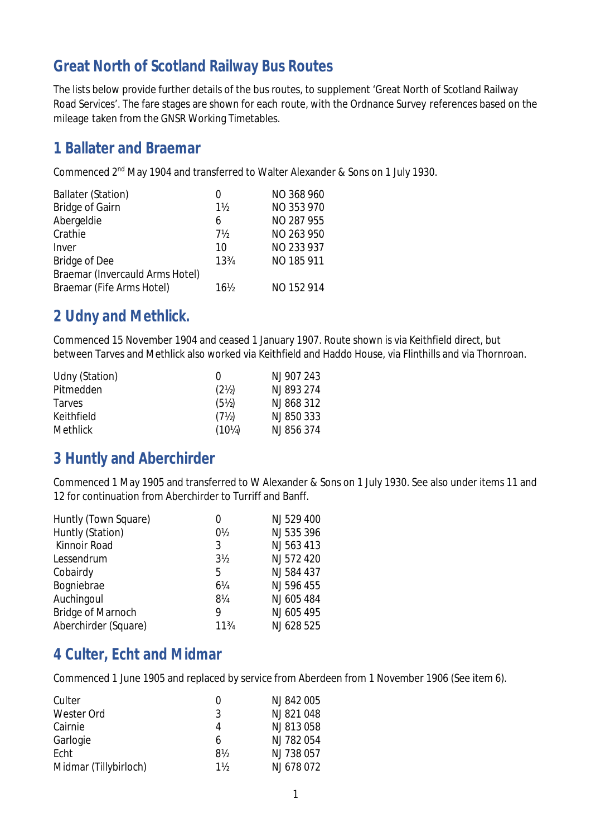# **Great North of Scotland Railway Bus Routes**

The lists below provide further details of the bus routes, to supplement 'Great North of Scotland Railway Road Services'. The fare stages are shown for each route, with the Ordnance Survey references based on the mileage taken from the GNSR Working Timetables.

## **1 Ballater and Braemar**

Commenced 2nd May 1904 and transferred to Walter Alexander & Sons on 1 July 1930.

| <b>Ballater (Station)</b>       |        | NO 368 960 |
|---------------------------------|--------|------------|
| <b>Bridge of Gairn</b>          | $1\%$  | NO 353 970 |
| Abergeldie                      | 6      | NO 287 955 |
| Crathie                         | 7½     | NO 263 950 |
| Inver                           | 10     | NO 233 937 |
| <b>Bridge of Dee</b>            | 133/4  | NO 185 911 |
| Braemar (Invercauld Arms Hotel) |        |            |
| Braemar (Fife Arms Hotel)       | $16\%$ | NO 152 914 |

#### **2 Udny and Methlick.**

Commenced 15 November 1904 and ceased 1 January 1907. Route shown is via Keithfield direct, but between Tarves and Methlick also worked via Keithfield and Haddo House, via Flinthills and via Thornroan.

| Udny (Station)  | $_{0}$            | NJ 907 243 |
|-----------------|-------------------|------------|
| Pitmedden       | (2 <sub>2</sub> ) | NJ 893 274 |
| <b>Tarves</b>   | $(5\%)$           | NJ 868 312 |
| Keithfield      | $(7\%)$           | NJ 850 333 |
| <b>Methlick</b> | $(10\%)$          | NJ 856 374 |

## **3 Huntly and Aberchirder**

Commenced 1 May 1905 and transferred to W Alexander & Sons on 1 July 1930. See also under items 11 and 12 for continuation from Aberchirder to Turriff and Banff.

| Huntly (Town Square)     | 0              | NJ 529 400 |
|--------------------------|----------------|------------|
| Huntly (Station)         | $0\frac{1}{2}$ | NJ 535 396 |
| <b>Kinnoir Road</b>      | 3              | NJ 563 413 |
| Lessendrum               | $3\frac{1}{2}$ | NJ 572 420 |
| Cobairdy                 | 5              | NJ 584 437 |
| Bogniebrae               | 61/4           | NJ 596 455 |
| Auchingoul               | 8¼             | NJ 605 484 |
| <b>Bridge of Marnoch</b> | 9              | NJ 605 495 |
| Aberchirder (Square)     | 113/4          | NJ 628 525 |

#### **4 Culter, Echt and Midmar**

Commenced 1 June 1905 and replaced by service from Aberdeen from 1 November 1906 (See item 6).

| Culter                | 0  | NJ 842 005 |
|-----------------------|----|------------|
| <b>Wester Ord</b>     | 3  | NJ 821 048 |
| Cairnie               | 4  | NJ 813058  |
| Garlogie              | 6  | NJ 782 054 |
| Echt                  | 8½ | NJ 738 057 |
| Midmar (Tillybirloch) | 1½ | NJ 678 072 |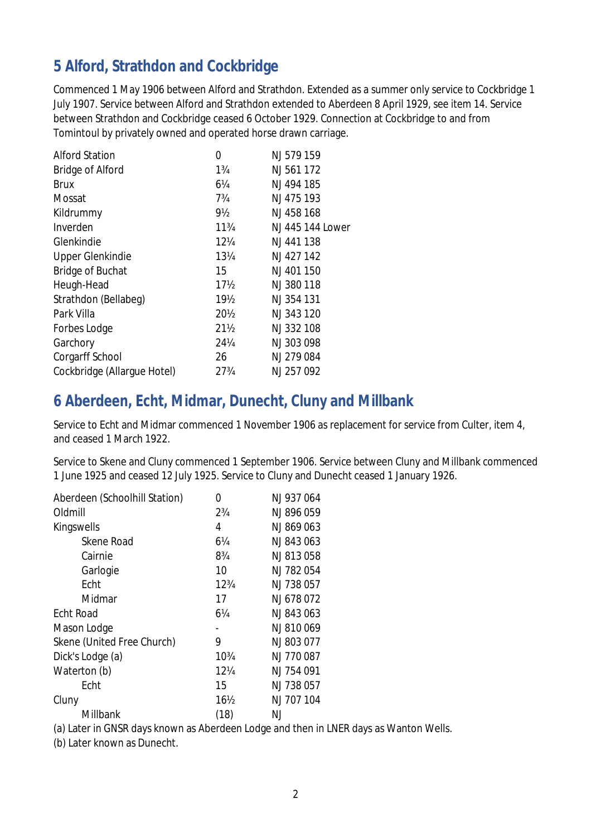# **5 Alford, Strathdon and Cockbridge**

Commenced 1 May 1906 between Alford and Strathdon. Extended as a summer only service to Cockbridge 1 July 1907. Service between Alford and Strathdon extended to Aberdeen 8 April 1929, see item 14. Service between Strathdon and Cockbridge ceased 6 October 1929. Connection at Cockbridge to and from Tomintoul by privately owned and operated horse drawn carriage.

| <b>Alford Station</b>       | 0               | NJ 579 159       |
|-----------------------------|-----------------|------------------|
| <b>Bridge of Alford</b>     | $1\frac{3}{4}$  | NJ 561 172       |
| Brux                        | 6¼              | NJ 494 185       |
| Mossat                      | $7\frac{3}{4}$  | NJ 475 193       |
| Kildrummy                   | 9½              | NJ 458 168       |
| Inverden                    | $11\frac{3}{4}$ | NJ 445 144 Lower |
| Glenkindie                  | $12\%$          | NJ 441 138       |
| <b>Upper Glenkindie</b>     | 13¼             | NJ 427 142       |
| <b>Bridge of Buchat</b>     | 15              | NJ 401 150       |
| Heugh-Head                  | $17\frac{1}{2}$ | NJ 380 118       |
| Strathdon (Bellabeg)        | 19 <sub>2</sub> | NJ 354 131       |
| Park Villa                  | $20\frac{1}{2}$ | NJ 343 120       |
| <b>Forbes Lodge</b>         | $21\%$          | NJ 332 108       |
| Garchory                    | 24¼             | NJ 303 098       |
| <b>Corgarff School</b>      | 26              | NJ 279 084       |
| Cockbridge (Allargue Hotel) | 273/4           | NJ 257 092       |

# **6 Aberdeen, Echt, Midmar, Dunecht, Cluny and Millbank**

Service to Echt and Midmar commenced 1 November 1906 as replacement for service from Culter, item 4, and ceased 1 March 1922.

Service to Skene and Cluny commenced 1 September 1906. Service between Cluny and Millbank commenced 1 June 1925 and ceased 12 July 1925. Service to Cluny and Dunecht ceased 1 January 1926.

| Aberdeen (Schoolhill Station) | N               | NJ 937 064 |
|-------------------------------|-----------------|------------|
| Oldmill                       | $2\frac{3}{4}$  | NJ 896 059 |
| Kingswells                    | 4               | NJ 869 063 |
| <b>Skene Road</b>             | 6¼              | NJ 843063  |
| Cairnie                       | $8\frac{3}{4}$  | NJ 813058  |
| Garlogie                      | 10              | NJ 782054  |
| Echt                          | $12\frac{3}{4}$ | NJ 738 057 |
| Midmar                        | 17              | NJ 678072  |
| <b>Echt Road</b>              | 6¼              | NJ 843063  |
| Mason Lodge                   |                 | NJ 810069  |
| Skene (United Free Church)    | 9               | NJ 803 077 |
| Dick's Lodge (a)              | 103⁄4           | NJ 770 087 |
| Waterton (b)                  | $12\%$          | NJ 754 091 |
| Echt                          | 15              | NJ 738 057 |
| Cluny                         | $16\frac{1}{2}$ | NJ 707 104 |
| Millbank                      | (18)            | NJ         |

(a) Later in GNSR days known as Aberdeen Lodge and then in LNER days as Wanton Wells.

(b) Later known as Dunecht.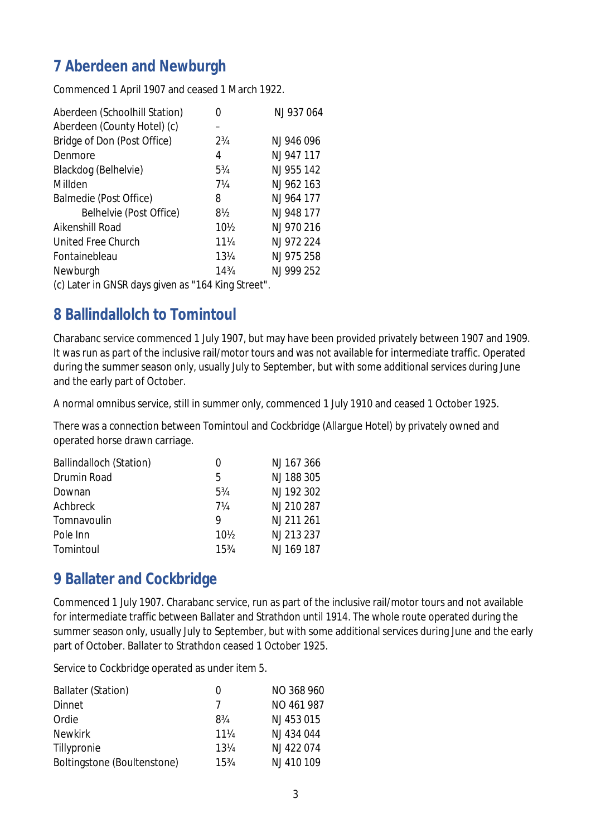# **7 Aberdeen and Newburgh**

Commenced 1 April 1907 and ceased 1 March 1922.

| Aberdeen (Schoolhill Station) |                | NJ 937 064 |
|-------------------------------|----------------|------------|
| Aberdeen (County Hotel) (c)   |                |            |
| Bridge of Don (Post Office)   | $2\frac{3}{4}$ | NJ 946 096 |
| Denmore                       | 4              | NJ 947 117 |
| Blackdog (Belhelvie)          | $5\frac{3}{4}$ | NJ 955 142 |
| Millden                       | 7¼             | NJ 962 163 |
| Balmedie (Post Office)        | 8              | NJ 964 177 |
| Belhelvie (Post Office)       | 8½             | NJ 948 177 |
| Aikenshill Road               | $10\%$         | NJ 970 216 |
| United Free Church            | 11¼            | NJ 972 224 |
| Fontainebleau                 | 131/4          | NJ 975 258 |
| Newburgh                      | 143⁄4          | NJ 999 252 |

(c) Later in GNSR days given as "164 King Street".

## **8 Ballindallolch to Tomintoul**

Charabanc service commenced 1 July 1907, but may have been provided privately between 1907 and 1909. It was run as part of the inclusive rail/motor tours and was not available for intermediate traffic. Operated during the summer season only, usually July to September, but with some additional services during June and the early part of October.

A normal omnibus service, still in summer only, commenced 1 July 1910 and ceased 1 October 1925.

There was a connection between Tomintoul and Cockbridge (Allargue Hotel) by privately owned and operated horse drawn carriage.

| <b>Ballindalloch (Station)</b> | 0    | NJ 167 366 |
|--------------------------------|------|------------|
| <b>Drumin Road</b>             | 5    | NJ 188 305 |
| Downan                         | 53⁄4 | NJ 192 302 |
| Achbreck                       | 7¼   | NJ 210 287 |
| Tomnavoulin                    | Q    | NJ 211 261 |
| Pole Inn                       | 10½  | NJ 213 237 |
| Tomintoul                      | 15%  | NJ 169 187 |

## **9 Ballater and Cockbridge**

Commenced 1 July 1907. Charabanc service, run as part of the inclusive rail/motor tours and not available for intermediate traffic between Ballater and Strathdon until 1914. The whole route operated during the summer season only, usually July to September, but with some additional services during June and the early part of October. Ballater to Strathdon ceased 1 October 1925.

Service to Cockbridge operated as under item 5.

| <b>Ballater (Station)</b>   | $_{0}$ | NO 368 960 |
|-----------------------------|--------|------------|
| <b>Dinnet</b>               | 7      | NO 461 987 |
| Ordie                       | 8¾     | NJ 453 015 |
| <b>Newkirk</b>              | 11¼    | NJ 434 044 |
| Tillypronie                 | 13¼    | NJ 422074  |
| Boltingstone (Boultenstone) | 15%    | NJ 410 109 |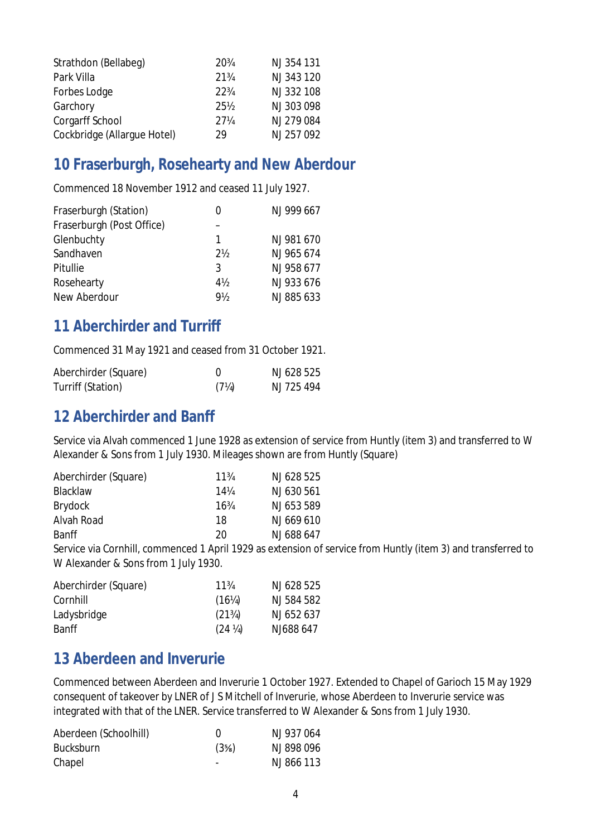| Strathdon (Bellabeg)        | 20\%            | NJ 354 131 |
|-----------------------------|-----------------|------------|
| Park Villa                  | $21\frac{3}{4}$ | NJ 343 120 |
| <b>Forbes Lodge</b>         | $22\frac{3}{4}$ | NJ 332 108 |
| Garchory                    | 25½             | NJ 303 098 |
| <b>Corgarff School</b>      | $27\%$          | NJ 279 084 |
| Cockbridge (Allargue Hotel) | 29              | NJ 257 092 |

## **10 Fraserburgh, Rosehearty and New Aberdour**

Commenced 18 November 1912 and ceased 11 July 1927.

| Fraserburgh (Station)     | 0     | NJ 999 667 |
|---------------------------|-------|------------|
| Fraserburgh (Post Office) |       |            |
| Glenbuchty                | 1     | NJ 981 670 |
| Sandhaven                 | $2\%$ | NJ 965 674 |
| Pitullie                  | 3     | NJ 958 677 |
| Rosehearty                | $4\%$ | NJ 933 676 |
| New Aberdour              | 9½    | NJ 885 633 |

#### **11 Aberchirder and Turriff**

Commenced 31 May 1921 and ceased from 31 October 1921.

| Aberchirder (Square) |         | NJ 628 525 |
|----------------------|---------|------------|
| Turriff (Station)    | $(7\%)$ | NJ 725 494 |

#### **12 Aberchirder and Banff**

Service via Alvah commenced 1 June 1928 as extension of service from Huntly (item 3) and transferred to W Alexander & Sons from 1 July 1930. Mileages shown are from Huntly (Square)

| Aberchirder (Square) | $11\frac{3}{4}$ | NJ 628 525 |
|----------------------|-----------------|------------|
| <b>Blacklaw</b>      | $14\%$          | NJ 630 561 |
| Brydock              | $16\frac{3}{4}$ | NJ 653 589 |
| <b>Alvah Road</b>    | 18              | NJ 669 610 |
| <b>Banff</b>         | 20              | NJ 688 647 |

Service via Cornhill, commenced 1 April 1929 as extension of service from Huntly (item 3) and transferred to W Alexander & Sons from 1 July 1930.

| Aberchirder (Square) | $11\frac{3}{4}$                   | NJ 628 525 |
|----------------------|-----------------------------------|------------|
| Cornhill             | $(16\%)$                          | NJ 584 582 |
| Ladysbridge          | $(21\%)$                          | NJ 652 637 |
| <b>Banff</b>         | (24 <sup>1</sup> / <sub>4</sub> ) | NJ688 647  |

#### **13 Aberdeen and Inverurie**

Commenced between Aberdeen and Inverurie 1 October 1927. Extended to Chapel of Garioch 15 May 1929 consequent of takeover by LNER of J S Mitchell of Inverurie, whose Aberdeen to Inverurie service was integrated with that of the LNER. Service transferred to W Alexander & Sons from 1 July 1930.

| Aberdeen (Schoolhill) |         | NJ 937 064 |
|-----------------------|---------|------------|
| <b>Bucksburn</b>      | $(3\%)$ | NJ 898 096 |
| Chapel                |         | NJ 866 113 |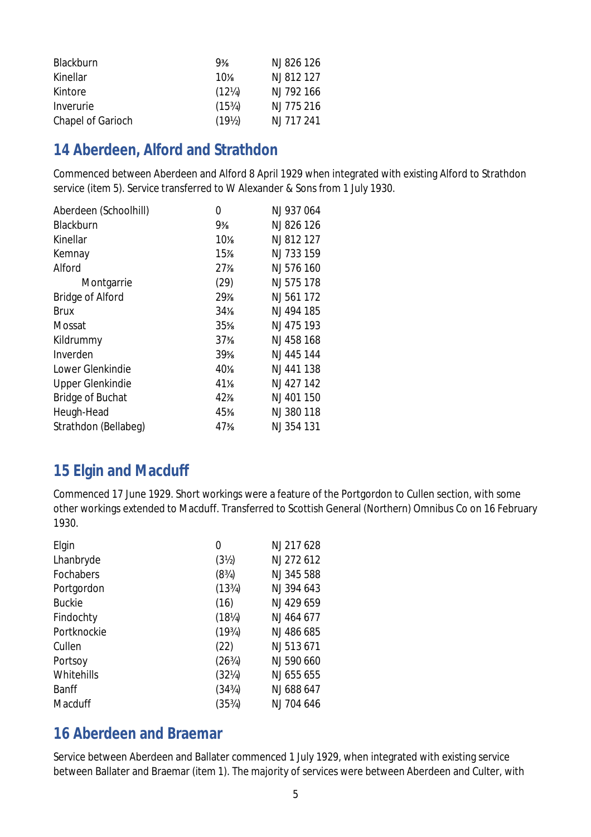| Blackburn                | $9\frac{3}{8}$     | NJ 826 126 |
|--------------------------|--------------------|------------|
| Kinellar                 | $10\%$             | NJ 812 127 |
| Kintore                  | $(12\%)$           | NJ 792 166 |
| Inverurie                | (15%)              | NJ 775 216 |
| <b>Chapel of Garioch</b> | (19 <sub>2</sub> ) | NJ 717 241 |

## **14 Aberdeen, Alford and Strathdon**

Commenced between Aberdeen and Alford 8 April 1929 when integrated with existing Alford to Strathdon service (item 5). Service transferred to W Alexander & Sons from 1 July 1930.

| 0               | NJ 937 064 |
|-----------------|------------|
| 9%              | NJ 826 126 |
| $10\%$          | NJ 812 127 |
| 15%             | NJ 733 159 |
| 27%             | NJ 576 160 |
| (29)            | NJ 575 178 |
| 29%             | NJ 561 172 |
| 34%             | NJ 494 185 |
| 35%             | NJ 475 193 |
| 37%             | NJ 458 168 |
| $39\%$          | NJ 445 144 |
| 40 <sup>%</sup> | NJ 441 138 |
| 41%             | NJ 427 142 |
| 42%             | NJ 401 150 |
| 45%             | NJ 380 118 |
| 47%             | NJ 354 131 |
|                 |            |

# **15 Elgin and Macduff**

Commenced 17 June 1929. Short workings were a feature of the Portgordon to Cullen section, with some other workings extended to Macduff. Transferred to Scottish General (Northern) Omnibus Co on 16 February 1930.

| Elgin            | 0                                 | NJ 217 628 |
|------------------|-----------------------------------|------------|
| Lhanbryde        | (3 <sub>2</sub> )                 | NJ 272 612 |
| <b>Fochabers</b> | (8 <sup>3</sup> / <sub>4</sub> )  | NJ 345 588 |
| Portgordon       | (13%)                             | NJ 394 643 |
| <b>Buckie</b>    | (16)                              | NJ 429 659 |
| Findochty        | $(18\%)$                          | NJ 464 677 |
| Portknockie      | (19 <sup>3</sup> / <sub>4</sub> ) | NJ 486 685 |
| Cullen           | (22)                              | NJ 513 671 |
| Portsoy          | $(26^{3}/)$                       | NJ 590 660 |
| Whitehills       | (32%)                             | NJ 655 655 |
| <b>Banff</b>     | (34%)                             | NJ 688 647 |
| <b>Macduff</b>   | (35%)                             | NJ 704 646 |

# **16 Aberdeen and Braemar**

Service between Aberdeen and Ballater commenced 1 July 1929, when integrated with existing service between Ballater and Braemar (item 1). The majority of services were between Aberdeen and Culter, with